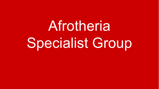**Afrotheria** Specialist Group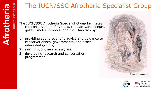# The IUCN/SSC Afrotheria Specialist Group

The IUCN/SSC Afrotheria Specialist Group facilitates the conservation of hyraxes, the aardvark, sengis, golden-moles, tenrecs, and their habitats by:

- 1) providing sound scientific advice and guidance to conservationists, governments, and other interested groups;
- 2) raising public awareness; and
- 3) developing research and conservation programmes.



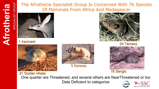## **A frotheria**

**SPECIALIS TGROUP**





1 Aardvark





5 Hyraxes



33 Tenrecs



21 Golden Moles 21 Sengis

One quarter are Threatened, and several others are NearThreatened or too Data Deficient to categorize **IUCN**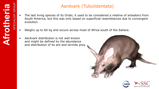## Aardvark (Tubulidentata)

- The last living species of its Order, it used to be considered a relative of anteaters from South America, but this was only based on superficial resemblances due to convergent evolution.
- Weighs up to 60 kg and occurs across most of Africa south of the Sahara.
- Aardvark distribution is not well known and might be defined by the abundance and distribution of its ant and termite prey.





 $\sim$   $\sim$   $\sim$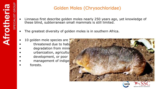### Golden Moles (Chrysochloridae)

- Linnaeus first describe golden moles nearly 250 years ago, yet knowledge of these blind, subterranean small mammals is still limited.
- The greatest diversity of golden moles is in southern Africa.
- 10 golden mole species are
- threatened due to habit
- degradation from minin
- urbanization, agricultur
- development, or poor
- management of indige
- forests.

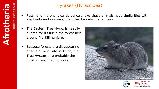**SPECIALIS T**

**GROUP**

### Hyraxes (Hyracoidea)

- Fossil and morpholigical evidence shows these animals have similarities with elephants and seacows, the other two afrotherian taxa.
- The Eastern Tree Hyrax is heavily hunted for its fur in the forest belt around Mt. Kilimanjaro.
- Because forests are disappearing at an alarming rate in Africa, the Tree Hyraxes are probably the most at risk of all hyraxes.





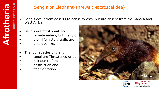### Sengis or Elephant-shrews (Macroscelidea)

- Sengis occur from deserts to dense forests, but are absent from the Sahara and West Africa.
- Sengis are mostly ant and
- termite eaters, but many of
- their life history traits are
- antelope-like.
- The four species of giant
- sengi are Threatened or at
- risk due to forest
- destruction and
- fragmentation.





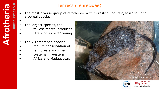•

### Tenrecs (Tenrecidae)

- The most diverse group of afrotheres, with terrestrial, aquatic, fossorial, and arboreal species.
- The largest species, the
- tailless tenrec produces
- litters of up to 32 young.
- The 7 Threatened species
- require conservation of
- rainforests and river
- systems in western
- Africa and Madagascar.



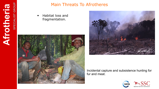

### Main Threats To Afrotheres

• Habitat loss and fragmentation.





Incidental capture and subsistence hunting for fur and meat.

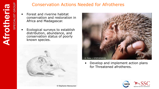### Conservation Actions Needed for Afrotheres

- Forest and riverine habitat conservation and restoration in Africa and Madagascar.
- Ecological surveys to establish distribution, abundance, and conservation status of poorly known species.





• Develop and implement action plans for Threatened afrotheres.